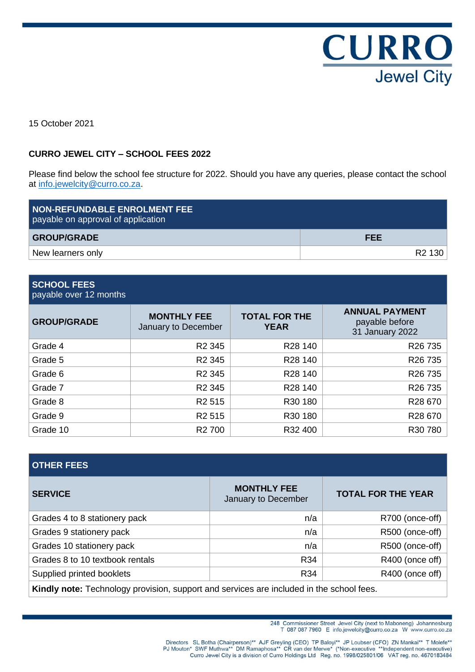

15 October 2021

## **CURRO JEWEL CITY – SCHOOL FEES 2022**

Please find below the school fee structure for 2022. Should you have any queries, please contact the school at [info.jewelcity@curro.co.za.](mailto:info.jewelcity@curro.co.za)

| <b>NON-REFUNDABLE ENROLMENT FEE</b><br>payable on approval of application |                    |
|---------------------------------------------------------------------------|--------------------|
| <b>GROUP/GRADE</b>                                                        | <b>FEE</b>         |
| New learners only                                                         | R <sub>2</sub> 130 |

### **SCHOOL FEES** payable over 12 months

| <b>GROUP/GRADE</b> | <b>MONTHLY FEE</b><br>January to December | <b>TOTAL FOR THE</b><br><b>YEAR</b> | <b>ANNUAL PAYMENT</b><br>payable before<br>31 January 2022 |  |
|--------------------|-------------------------------------------|-------------------------------------|------------------------------------------------------------|--|
| Grade 4            | R <sub>2</sub> 345                        | R <sub>28</sub> 140                 | R <sub>26</sub> 735                                        |  |
| Grade 5            | R <sub>2</sub> 345                        | R <sub>28</sub> 140                 | R <sub>26</sub> 735                                        |  |
| Grade 6            | R <sub>2</sub> 345                        | R <sub>28</sub> 140                 | R <sub>26</sub> 735                                        |  |
| Grade 7            | R <sub>2</sub> 345                        | R28 140                             | R <sub>26</sub> 735                                        |  |
| Grade 8            | R <sub>2</sub> 515                        | R <sub>30</sub> 180                 | R28 670                                                    |  |
| Grade 9            | R <sub>2</sub> 515                        | R30 180                             | R28 670                                                    |  |
| Grade 10           | R <sub>2</sub> 700                        | R32 400                             | R30 780                                                    |  |

# **OTHER FEES**

| <b>SERVICE</b>                                                                           | <b>MONTHLY FEE</b><br>January to December | <b>TOTAL FOR THE YEAR</b> |
|------------------------------------------------------------------------------------------|-------------------------------------------|---------------------------|
| Grades 4 to 8 stationery pack                                                            | n/a                                       | R700 (once-off)           |
| Grades 9 stationery pack                                                                 | n/a                                       | R500 (once-off)           |
| Grades 10 stationery pack                                                                | n/a                                       | R500 (once-off)           |
| Grades 8 to 10 textbook rentals                                                          | R34                                       | R400 (once off)           |
| Supplied printed booklets                                                                | R <sub>34</sub>                           | R400 (once off)           |
| Kindly note: Technology provision, support and services are included in the school fees. |                                           |                           |

<sup>248</sup> Commissioner Street Jewel City (next to Maboneng) Johannesburg<br>T 087 087 7960 E info.jewelcity@curro.co.za W www.curro.co.za

Directors SL Botha (Chairperson)\*\* AJF Greyling (CEO) TP Baloyi\*\* JP Loubser (CFO) ZN Mankai\*\* T Molefe\*\* PJ Mouton\* SWF Muthwa\*\* DM Ramaphosa\*\* CR van der Merwe\* (\*Non-executive \*\*Independent non-executive)<br>Curro Jewel Ci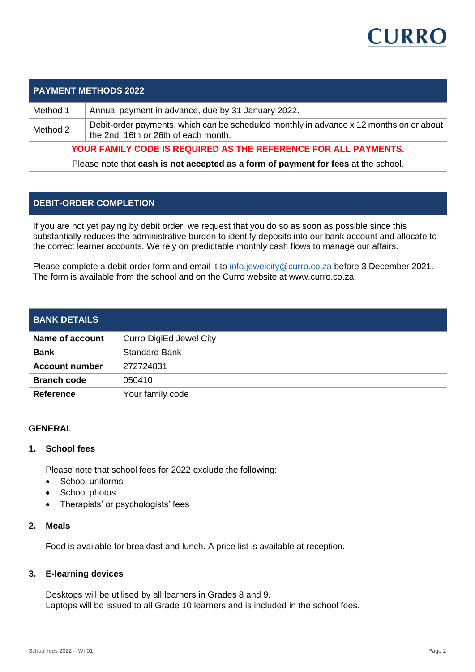

|          | <b>PAYMENT METHODS 2022</b>                                                                                                     |
|----------|---------------------------------------------------------------------------------------------------------------------------------|
| Method 1 | Annual payment in advance, due by 31 January 2022.                                                                              |
| Method 2 | Debit-order payments, which can be scheduled monthly in advance x 12 months on or about<br>the 2nd, 16th or 26th of each month. |
|          | YOUR FAMILY CODE IS REQUIRED AS THE REFERENCE FOR ALL PAYMENTS.                                                                 |

Please note that **cash is not accepted as a form of payment for fees** at the school.

## **DEBIT-ORDER COMPLETION**

If you are not yet paying by debit order, we request that you do so as soon as possible since this substantially reduces the administrative burden to identify deposits into our bank account and allocate to the correct learner accounts. We rely on predictable monthly cash flows to manage our affairs.

Please complete a debit-order form and email it to [info.jewelcity@curro.co.za](mailto:info.jewelcity@curro.co.za) before 3 December 2021. The form is available from the school and on the Curro website at www.curro.co.za.

## **BANK DETAILS**

| Name of account       | Curro DigiEd Jewel City |
|-----------------------|-------------------------|
| <b>Bank</b>           | <b>Standard Bank</b>    |
| <b>Account number</b> | 272724831               |
| <b>Branch code</b>    | 050410                  |
| <b>Reference</b>      | Your family code        |

### **GENERAL**

### **1. School fees**

Please note that school fees for 2022 exclude the following:

- School uniforms
- School photos
- Therapists' or psychologists' fees

## **2. Meals**

Food is available for breakfast and lunch. A price list is available at reception.

### **3. E-learning devices**

Desktops will be utilised by all learners in Grades 8 and 9. Laptops will be issued to all Grade 10 learners and is included in the school fees.